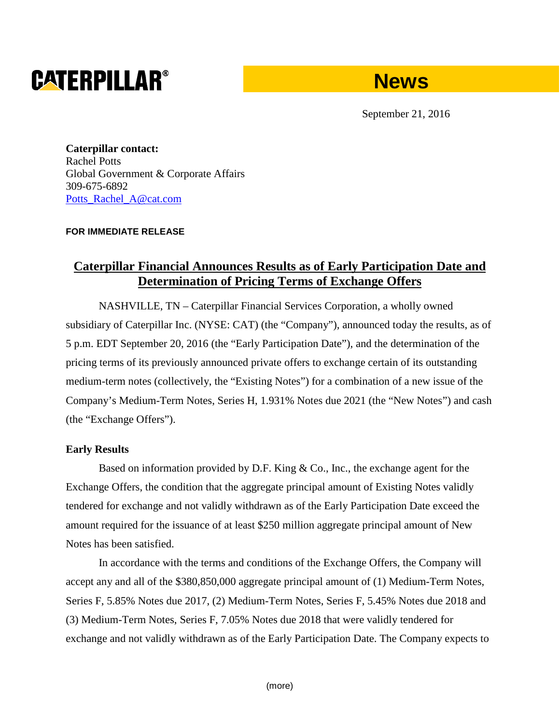# **CATERPILLAR®**



September 21, 2016

**Caterpillar contact:** Rachel Potts Global Government & Corporate Affairs 309-675-6892 [Potts\\_Rachel\\_A@cat.com](mailto:Potts_Rachel_A@cat.com)

### **FOR IMMEDIATE RELEASE**

## **Caterpillar Financial Announces Results as of Early Participation Date and Determination of Pricing Terms of Exchange Offers**

NASHVILLE, TN – Caterpillar Financial Services Corporation, a wholly owned subsidiary of Caterpillar Inc. (NYSE: CAT) (the "Company"), announced today the results, as of 5 p.m. EDT September 20, 2016 (the "Early Participation Date"), and the determination of the pricing terms of its previously announced private offers to exchange certain of its outstanding medium-term notes (collectively, the "Existing Notes") for a combination of a new issue of the Company's Medium-Term Notes, Series H, 1.931% Notes due 2021 (the "New Notes") and cash (the "Exchange Offers").

### **Early Results**

Based on information provided by D.F. King & Co., Inc., the exchange agent for the Exchange Offers, the condition that the aggregate principal amount of Existing Notes validly tendered for exchange and not validly withdrawn as of the Early Participation Date exceed the amount required for the issuance of at least \$250 million aggregate principal amount of New Notes has been satisfied.

In accordance with the terms and conditions of the Exchange Offers, the Company will accept any and all of the \$380,850,000 aggregate principal amount of (1) Medium-Term Notes, Series F, 5.85% Notes due 2017, (2) Medium-Term Notes, Series F, 5.45% Notes due 2018 and (3) Medium-Term Notes, Series F, 7.05% Notes due 2018 that were validly tendered for exchange and not validly withdrawn as of the Early Participation Date. The Company expects to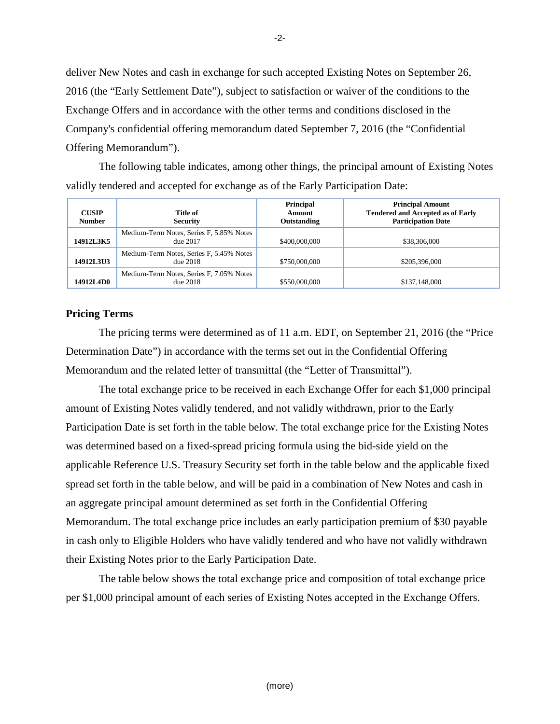deliver New Notes and cash in exchange for such accepted Existing Notes on September 26, 2016 (the "Early Settlement Date"), subject to satisfaction or waiver of the conditions to the Exchange Offers and in accordance with the other terms and conditions disclosed in the Company's confidential offering memorandum dated September 7, 2016 (the "Confidential Offering Memorandum").

The following table indicates, among other things, the principal amount of Existing Notes validly tendered and accepted for exchange as of the Early Participation Date:

| <b>CUSIP</b><br><b>Number</b> | Title of<br><b>Security</b>                          | Principal<br>Amount<br>Outstanding | <b>Principal Amount</b><br><b>Tendered and Accepted as of Early</b><br><b>Participation Date</b> |
|-------------------------------|------------------------------------------------------|------------------------------------|--------------------------------------------------------------------------------------------------|
| 14912L3K5                     | Medium-Term Notes, Series F, 5.85% Notes<br>due 2017 | \$400,000,000                      | \$38,306,000                                                                                     |
| <b>14912L3U3</b>              | Medium-Term Notes, Series F, 5.45% Notes<br>due~2018 | \$750,000,000                      | \$205,396,000                                                                                    |
| 14912LAD0                     | Medium-Term Notes, Series F, 7.05% Notes<br>due~2018 | \$550,000,000                      | \$137,148,000                                                                                    |

#### **Pricing Terms**

The pricing terms were determined as of 11 a.m. EDT, on September 21, 2016 (the "Price Determination Date") in accordance with the terms set out in the Confidential Offering Memorandum and the related letter of transmittal (the "Letter of Transmittal").

The total exchange price to be received in each Exchange Offer for each \$1,000 principal amount of Existing Notes validly tendered, and not validly withdrawn, prior to the Early Participation Date is set forth in the table below. The total exchange price for the Existing Notes was determined based on a fixed-spread pricing formula using the bid-side yield on the applicable Reference U.S. Treasury Security set forth in the table below and the applicable fixed spread set forth in the table below, and will be paid in a combination of New Notes and cash in an aggregate principal amount determined as set forth in the Confidential Offering Memorandum. The total exchange price includes an early participation premium of \$30 payable in cash only to Eligible Holders who have validly tendered and who have not validly withdrawn their Existing Notes prior to the Early Participation Date.

The table below shows the total exchange price and composition of total exchange price per \$1,000 principal amount of each series of Existing Notes accepted in the Exchange Offers.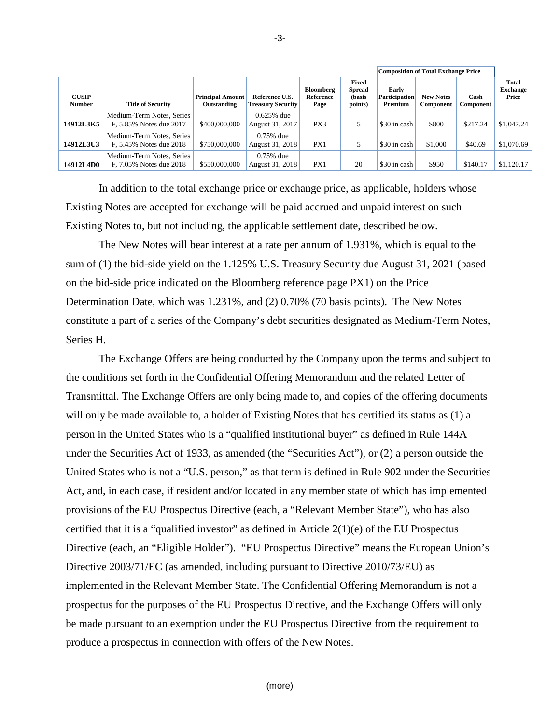|                               |                                                      |                                        |                                            |                                | <b>Composition of Total Exchange Price</b>  |                                          |                               |                   |                                          |
|-------------------------------|------------------------------------------------------|----------------------------------------|--------------------------------------------|--------------------------------|---------------------------------------------|------------------------------------------|-------------------------------|-------------------|------------------------------------------|
| <b>CUSIP</b><br><b>Number</b> | <b>Title of Security</b>                             | <b>Principal Amount</b><br>Outstanding | Reference U.S.<br><b>Treasury Security</b> | Bloomberg<br>Reference<br>Page | Fixed<br><b>Spread</b><br>(basis<br>points) | Early<br><b>Participation</b><br>Premium | <b>New Notes</b><br>Component | Cash<br>Component | <b>Total</b><br><b>Exchange</b><br>Price |
| 14912L3K5                     | Medium-Term Notes, Series<br>F, 5.85% Notes due 2017 | \$400,000,000                          | $0.625%$ due<br>August 31, 2017            | PX3                            | 5                                           | \$30 in cash                             | \$800                         | \$217.24          | \$1,047.24                               |
| 14912L3U3                     | Medium-Term Notes, Series<br>F, 5.45% Notes due 2018 | \$750,000,000                          | $0.75\%$ due<br>August 31, 2018            | PX1                            |                                             | \$30 in cash                             | \$1,000                       | \$40.69           | \$1,070.69                               |
| <b>14912L4D0</b>              | Medium-Term Notes, Series<br>F. 7.05% Notes due 2018 | \$550,000,000                          | $0.75\%$ due<br>August 31, 2018            | PX1                            | 20                                          | \$30 in cash                             | \$950                         | \$140.17          | \$1,120.17                               |

In addition to the total exchange price or exchange price, as applicable, holders whose Existing Notes are accepted for exchange will be paid accrued and unpaid interest on such Existing Notes to, but not including, the applicable settlement date, described below.

The New Notes will bear interest at a rate per annum of 1.931%, which is equal to the sum of (1) the bid-side yield on the 1.125% U.S. Treasury Security due August 31, 2021 (based on the bid-side price indicated on the Bloomberg reference page PX1) on the Price Determination Date, which was 1.231%, and (2) 0.70% (70 basis points). The New Notes constitute a part of a series of the Company's debt securities designated as Medium-Term Notes, Series H.

The Exchange Offers are being conducted by the Company upon the terms and subject to the conditions set forth in the Confidential Offering Memorandum and the related Letter of Transmittal. The Exchange Offers are only being made to, and copies of the offering documents will only be made available to, a holder of Existing Notes that has certified its status as (1) a person in the United States who is a "qualified institutional buyer" as defined in Rule 144A under the Securities Act of 1933, as amended (the "Securities Act"), or (2) a person outside the United States who is not a "U.S. person," as that term is defined in Rule 902 under the Securities Act, and, in each case, if resident and/or located in any member state of which has implemented provisions of the EU Prospectus Directive (each, a "Relevant Member State"), who has also certified that it is a "qualified investor" as defined in Article  $2(1)(e)$  of the EU Prospectus Directive (each, an "Eligible Holder"). "EU Prospectus Directive" means the European Union's Directive 2003/71/EC (as amended, including pursuant to Directive 2010/73/EU) as implemented in the Relevant Member State. The Confidential Offering Memorandum is not a prospectus for the purposes of the EU Prospectus Directive, and the Exchange Offers will only be made pursuant to an exemption under the EU Prospectus Directive from the requirement to produce a prospectus in connection with offers of the New Notes.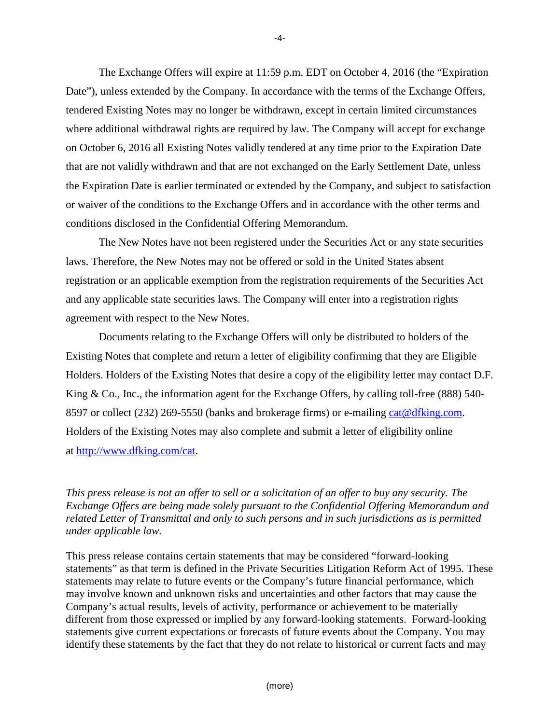The Exchange Offers will expire at 11:59 p.m. EDT on October 4, 2016 (the "Expiration Date"), unless extended by the Company. In accordance with the terms of the Exchange Offers, tendered Existing Notes may no longer be withdrawn, except in certain limited circumstances where additional withdrawal rights are required by law. The Company will accept for exchange on October 6, 2016 all Existing Notes validly tendered at any time prior to the Expiration Date that are not validly withdrawn and that are not exchanged on the Early Settlement Date, unless the Expiration Date is earlier terminated or extended by the Company, and subject to satisfaction or waiver of the conditions to the Exchange Offers and in accordance with the other terms and conditions disclosed in the Confidential Offering Memorandum.

The New Notes have not been registered under the Securities Act or any state securities laws. Therefore, the New Notes may not be offered or sold in the United States absent registration or an applicable exemption from the registration requirements of the Securities Act and any applicable state securities laws. The Company will enter into a registration rights agreement with respect to the New Notes.

Documents relating to the Exchange Offers will only be distributed to holders of the Existing Notes that complete and return a letter of eligibility confirming that they are Eligible Holders. Holders of the Existing Notes that desire a copy of the eligibility letter may contact D.F. King & Co., Inc., the information agent for the Exchange Offers, by calling toll-free (888) 540-8597 or collect (232) 269-5550 (banks and brokerage firms) or e-mailing cat@dfking.com. Holders of the Existing Notes may also complete and submit a letter of eligibility online at [http://www.dfking.com/cat.](http://www.dfking.com/cat)

*This press release is not an offer to sell or a solicitation of an offer to buy any security. The Exchange Offers are being made solely pursuant to the Confidential Offering Memorandum and related Letter of Transmittal and only to such persons and in such jurisdictions as is permitted under applicable law.*

This press release contains certain statements that may be considered "forward-looking statements" as that term is defined in the Private Securities Litigation Reform Act of 1995. These statements may relate to future events or the Company's future financial performance, which may involve known and unknown risks and uncertainties and other factors that may cause the Company's actual results, levels of activity, performance or achievement to be materially different from those expressed or implied by any forward-looking statements. Forward-looking statements give current expectations or forecasts of future events about the Company. You may identify these statements by the fact that they do not relate to historical or current facts and may

-4-